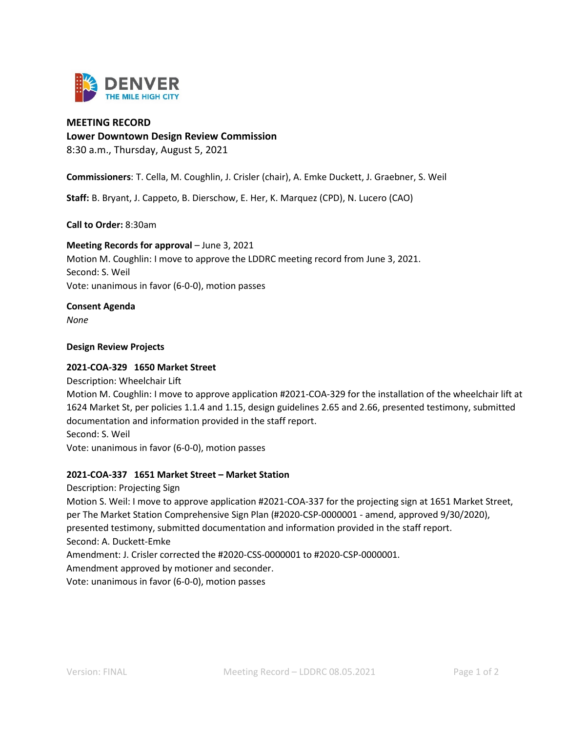

### **MEETING RECORD**

**Lower Downtown Design Review Commission**

8:30 a.m., Thursday, August 5, 2021

**Commissioners**: T. Cella, M. Coughlin, J. Crisler (chair), A. Emke Duckett, J. Graebner, S. Weil

**Staff:** B. Bryant, J. Cappeto, B. Dierschow, E. Her, K. Marquez (CPD), N. Lucero (CAO)

**Call to Order:** 8:30am

#### **Meeting Records for approval – June 3, 2021**

Motion M. Coughlin: I move to approve the LDDRC meeting record from June 3, 2021. Second: S. Weil Vote: unanimous in favor (6-0-0), motion passes

**Consent Agenda** 

*None*

### **Design Review Projects**

#### **2021-COA-329 1650 Market Street**

Description: Wheelchair Lift

Motion M. Coughlin: I move to approve application #2021-COA-329 for the installation of the wheelchair lift at 1624 Market St, per policies 1.1.4 and 1.15, design guidelines 2.65 and 2.66, presented testimony, submitted documentation and information provided in the staff report. Second: S. Weil

Vote: unanimous in favor (6-0-0), motion passes

## **2021-COA-337 1651 Market Street – Market Station**

Description: Projecting Sign Motion S. Weil: I move to approve application #2021-COA-337 for the projecting sign at 1651 Market Street, per The Market Station Comprehensive Sign Plan (#2020-CSP-0000001 - amend, approved 9/30/2020), presented testimony, submitted documentation and information provided in the staff report. Second: A. Duckett-Emke Amendment: J. Crisler corrected the #2020-CSS-0000001 to #2020-CSP-0000001. Amendment approved by motioner and seconder. Vote: unanimous in favor (6-0-0), motion passes